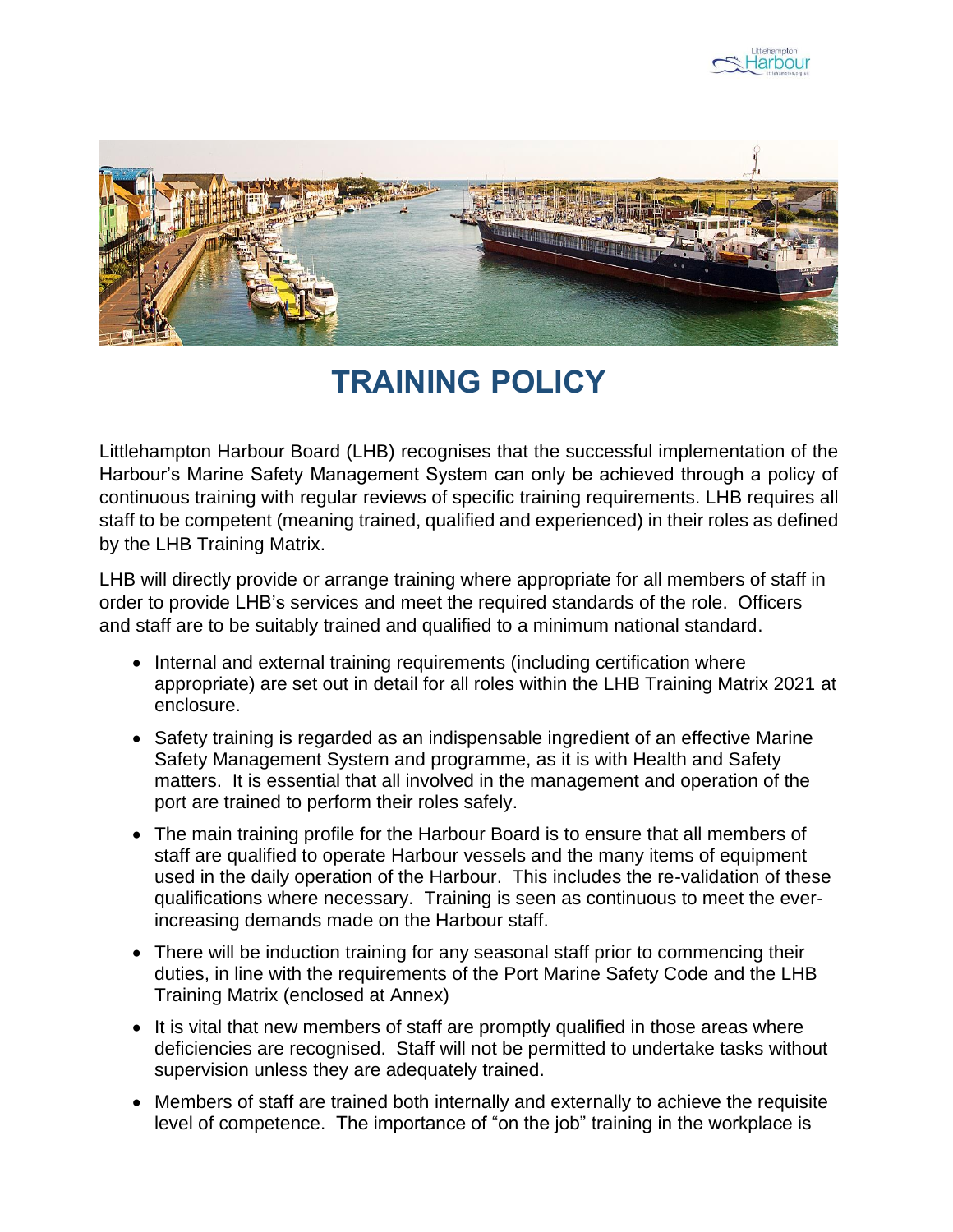



## **TRAINING POLICY**

Littlehampton Harbour Board (LHB) recognises that the successful implementation of the Harbour's Marine Safety Management System can only be achieved through a policy of continuous training with regular reviews of specific training requirements. LHB requires all staff to be competent (meaning trained, qualified and experienced) in their roles as defined by the LHB Training Matrix.

LHB will directly provide or arrange training where appropriate for all members of staff in order to provide LHB's services and meet the required standards of the role. Officers and staff are to be suitably trained and qualified to a minimum national standard.

- Internal and external training requirements (including certification where appropriate) are set out in detail for all roles within the LHB Training Matrix 2021 at enclosure.
- Safety training is regarded as an indispensable ingredient of an effective Marine Safety Management System and programme, as it is with Health and Safety matters. It is essential that all involved in the management and operation of the port are trained to perform their roles safely.
- The main training profile for the Harbour Board is to ensure that all members of staff are qualified to operate Harbour vessels and the many items of equipment used in the daily operation of the Harbour. This includes the re-validation of these qualifications where necessary. Training is seen as continuous to meet the everincreasing demands made on the Harbour staff.
- There will be induction training for any seasonal staff prior to commencing their duties, in line with the requirements of the Port Marine Safety Code and the LHB Training Matrix (enclosed at Annex)
- It is vital that new members of staff are promptly qualified in those areas where deficiencies are recognised. Staff will not be permitted to undertake tasks without supervision unless they are adequately trained.
- Members of staff are trained both internally and externally to achieve the requisite level of competence. The importance of "on the job" training in the workplace is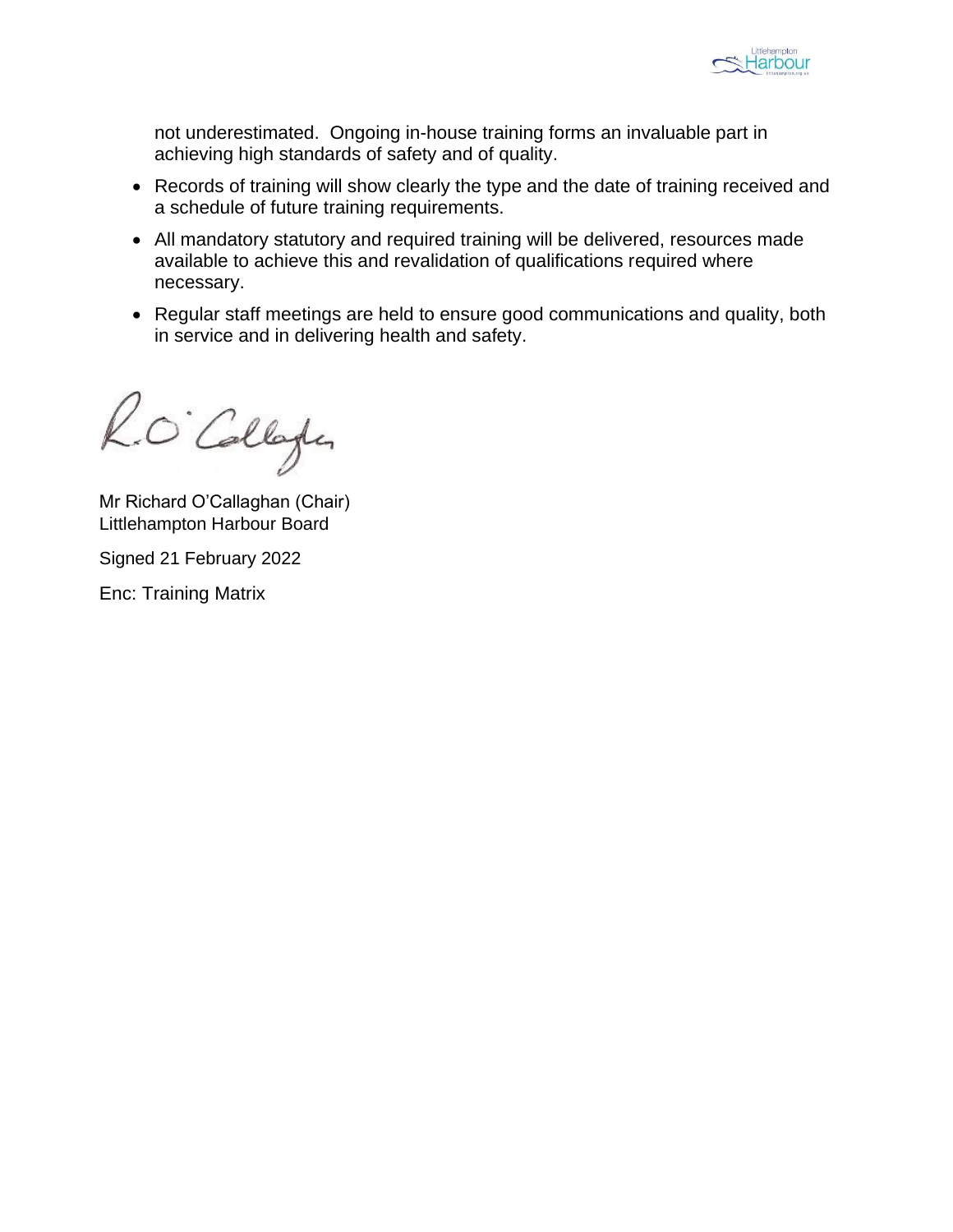

not underestimated. Ongoing in-house training forms an invaluable part in achieving high standards of safety and of quality.

- Records of training will show clearly the type and the date of training received and a schedule of future training requirements.
- All mandatory statutory and required training will be delivered, resources made available to achieve this and revalidation of qualifications required where necessary.
- Regular staff meetings are held to ensure good communications and quality, both in service and in delivering health and safety.

R.O. Collage

Mr Richard O'Callaghan (Chair) Littlehampton Harbour Board

Signed 21 February 2022

Enc: Training Matrix